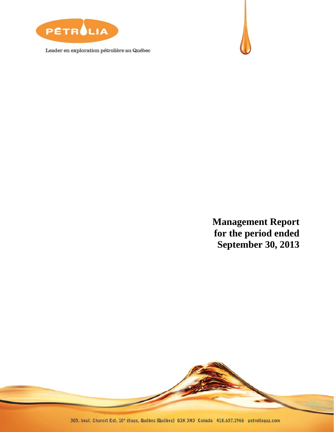

Leader en exploration pétrolière au Québec



**Management Report for the period ended September 30, 2013** 

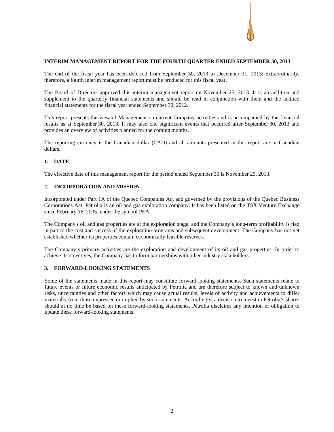# **INTERIM MANAGEMENT REPORT FOR THE FOURTH QUARTER ENDED SEPTEMBER 30, 2013**

The end of the fiscal year has been deferred from September 30, 2013 to December 31, 2013; extraordinarily, therefore, a fourth interim management report must be produced for this fiscal year.

The Board of Directors approved this interim management report on November 25, 2013. It is an addition and supplement to the quarterly financial statements and should be read in conjunction with them and the audited financial statements for the fiscal year ended September 30, 2012.

This report presents the view of Management on current Company activities and is accompanied by the financial results as at September 30, 2013. It may also cite significant events that occurred after September 30, 2013 and provides an overview of activities planned for the coming months.

The reporting currency is the Canadian dollar (CAD) and all amounts presented in this report are in Canadian dollars.

# **1. DATE**

The effective date of this management report for the period ended September 30 is November 25, 2013.

# **2. INCORPORATION AND MISSION**

Incorporated under Part 1A of the Quebec Companies Act and governed by the provisions of the Quebec Business Corporations Act, Pétrolia is an oil and gas exploration company. It has been listed on the TSX Venture Exchange since February 16, 2005, under the symbol PEA.

The Company's oil and gas properties are at the exploration stage, and the Company's long-term profitability is tied in part to the cost and success of the exploration programs and subsequent development. The Company has not yet established whether its properties contain economically feasible reserves.

The Company's primary activities are the exploration and development of its oil and gas properties. In order to achieve its objectives, the Company has to form partnerships with other industry stakeholders.

# **3. FORWARD-LOOKING STATEMENTS**

Some of the statements made in this report may constitute forward-looking statements. Such statements relate to future events or future economic results anticipated by Pétrolia and are therefore subject to known and unknown risks, uncertainties and other factors which may cause actual results, levels of activity and achievements to differ materially from those expressed or implied by such statements. Accordingly, a decision to invest in Pétrolia's shares should at no time be based on these forward-looking statements. Pétrolia disclaims any intention or obligation to update these forward-looking statements.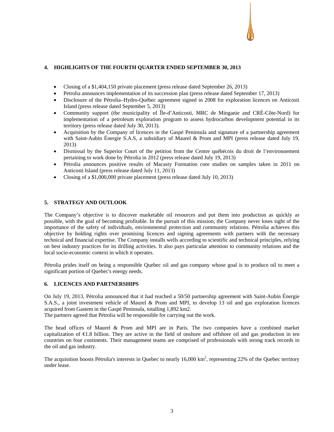# **4. HIGHLIGHTS OF THE FOURTH QUARTER ENDED SEPTEMBER 30, 2013**

- Closing of a \$1,404,150 private placement (press release dated September 26, 2013)
- Petrolia announces implementation of its succession plan (press release dated September 17, 2013)
- Disclosure of the Pétrolia–Hydro-Québec agreement signed in 2008 for exploration licences on Anticosti Island (press release dated September 5, 2013)
- Community support (the municipality of Île-d'Anticosti, MRC de Minganie and CRÉ-Côte-Nord) for implementation of a petroleum exploration program to assess hydrocarbon development potential in its territory (press release dated July 30, 2013).
- Acquisition by the Company of licences in the Gaspé Peninsula and signature of a partnership agreement with Saint-Aubin Énergie S.A.S, a subsidiary of Maurel & Prom and MPI (press release dated July 19, 2013)
- Dismissal by the Superior Court of the petition from the Centre québécois du droit de l'environnement pertaining to work done by Pétrolia in 2012 (press release dated July 19, 2013)
- Pétrolia announces positive results of Macasty Formation core studies on samples taken in 2011 on Anticosti Island (press release dated July 11, 2013)
- Closing of a \$1,000,000 private placement (press release dated July 10, 2013)

# **5. STRATEGY AND OUTLOOK**

The Company's objective is to discover marketable oil resources and put them into production as quickly as possible, with the goal of becoming profitable. In the pursuit of this mission, the Company never loses sight of the importance of the safety of individuals, environmental protection and community relations. Pétrolia achieves this objective by holding rights over promising licences and signing agreements with partners with the necessary technical and financial expertise. The Company installs wells according to scientific and technical principles, relying on best industry practices for its drilling activities. It also pays particular attention to community relations and the local socio-economic context in which it operates.

Pétrolia prides itself on being a responsible Quebec oil and gas company whose goal is to produce oil to meet a significant portion of Quebec's energy needs.

### **6. LICENCES AND PARTNERSHIPS**

On July 19, 2013, Pétrolia announced that it had reached a 50/50 partnership agreement with Saint-Aubin Énergie S.A.S., a joint investment vehicle of Maurel & Prom and MPI, to develop 13 oil and gas exploration licences acquired from Gastem in the Gaspé Peninsula, totalling 1,892 km2.

The partners agreed that Pétrolia will be responsible for carrying out the work.

The head offices of Maurel & Prom and MPI are in Paris. The two companies have a combined market capitalization of  $E.8$  billion. They are active in the field of onshore and offshore oil and gas production in ten countries on four continents. Their management teams are comprised of professionals with strong track records in the oil and gas industry.

The acquisition boosts Pétrolia's interests in Quebec to nearly  $16,000 \text{ km}^2$ , representing 22% of the Quebec territory under lease.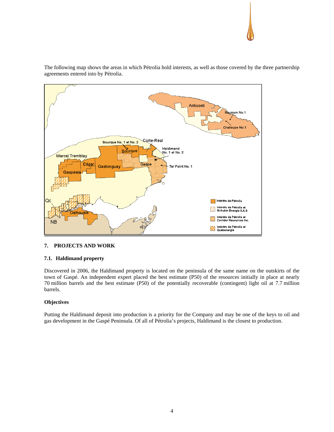

The following map shows the areas in which Pétrolia hold interests, as well as those covered by the three partnership agreements entered into by Pétrolia.

# **7. PROJECTS AND WORK**

# **7.1. Haldimand property**

Discovered in 2006, the Haldimand property is located on the peninsula of the same name on the outskirts of the town of Gaspé. An independent expert placed the best estimate (P50) of the resources initially in place at nearly 70 million barrels and the best estimate (P50) of the potentially recoverable (contingent) light oil at 7.7 million barrels.

# **Objectives**

Putting the Haldimand deposit into production is a priority for the Company and may be one of the keys to oil and gas development in the Gaspé Peninsula. Of all of Pétrolia's projects, Haldimand is the closest to production.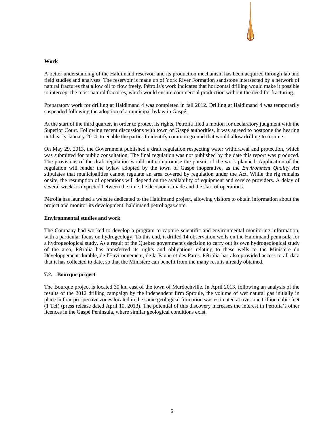# **Work**

A better understanding of the Haldimand reservoir and its production mechanism has been acquired through lab and field studies and analyses. The reservoir is made up of York River Formation sandstone intersected by a network of natural fractures that allow oil to flow freely. Pétrolia's work indicates that horizontal drilling would make it possible to intercept the most natural fractures, which would ensure commercial production without the need for fracturing.

Preparatory work for drilling at Haldimand 4 was completed in fall 2012. Drilling at Haldimand 4 was temporarily suspended following the adoption of a municipal bylaw in Gaspé.

At the start of the third quarter, in order to protect its rights, Pétrolia filed a motion for declaratory judgment with the Superior Court. Following recent discussions with town of Gaspé authorities, it was agreed to postpone the hearing until early January 2014, to enable the parties to identify common ground that would allow drilling to resume.

On May 29, 2013, the Government published a draft regulation respecting water withdrawal and protection, which was submitted for public consultation. The final regulation was not published by the date this report was produced. The provisions of the draft regulation would not compromise the pursuit of the work planned. Application of the regulation will render the bylaw adopted by the town of Gaspé inoperative, as the *Environment Quality Act* stipulates that municipalities cannot regulate an area covered by regulation under the Act. While the rig remains onsite, the resumption of operations will depend on the availability of equipment and service providers. A delay of several weeks is expected between the time the decision is made and the start of operations.

Pétrolia has launched a website dedicated to the Haldimand project, allowing visitors to obtain information about the project and monitor its development: haldimand.petroliagaz.com.

# **Environmental studies and work**

The Company had worked to develop a program to capture scientific and environmental monitoring information, with a particular focus on hydrogeology. To this end, it drilled 14 observation wells on the Haldimand peninsula for a hydrogeological study. As a result of the Quebec government's decision to carry out its own hydrogeological study of the area, Pétrolia has transferred its rights and obligations relating to these wells to the Ministère du Développement durable, de l'Environnement, de la Faune et des Parcs. Pétrolia has also provided access to all data that it has collected to date, so that the Ministère can benefit from the many results already obtained.

# **7.2. Bourque project**

The Bourque project is located 30 km east of the town of Murdochville. In April 2013, following an analysis of the results of the 2012 drilling campaign by the independent firm Sproule, the volume of wet natural gas initially in place in four prospective zones located in the same geological formation was estimated at over one trillion cubic feet (1 Tcf) (press release dated April 10, 2013). The potential of this discovery increases the interest in Pétrolia's other licences in the Gaspé Peninsula, where similar geological conditions exist.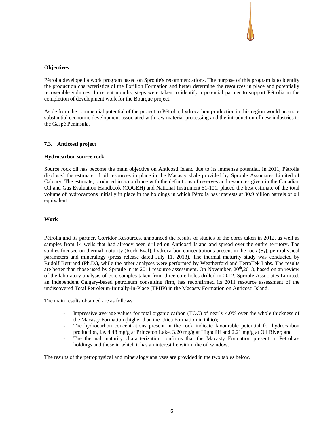# **Objectives**

Pétrolia developed a work program based on Sproule's recommendations. The purpose of this program is to identify the production characteristics of the Forillon Formation and better determine the resources in place and potentially recoverable volumes. In recent months, steps were taken to identify a potential partner to support Pétrolia in the completion of development work for the Bourque project.

Aside from the commercial potential of the project to Pétrolia, hydrocarbon production in this region would promote substantial economic development associated with raw material processing and the introduction of new industries to the Gaspé Peninsula.

### **7.3. Anticosti project**

### **Hydrocarbon source rock**

Source rock oil has become the main objective on Anticosti Island due to its immense potential. In 2011, Pétrolia disclosed the estimate of oil resources in place in the Macasty shale provided by Sproule Associates Limited of Calgary. The estimate, produced in accordance with the definitions of reserves and resources given in the Canadian Oil and Gas Evaluation Handbook (COGEH) and National Instrument 51-101, placed the best estimate of the total volume of hydrocarbons initially in place in the holdings in which Pétrolia has interests at 30.9 billion barrels of oil equivalent.

### **Work**

Pétrolia and its partner, Corridor Resources, announced the results of studies of the cores taken in 2012, as well as samples from 14 wells that had already been drilled on Anticosti Island and spread over the entire territory. The studies focused on thermal maturity (Rock Eval), hydrocarbon concentrations present in the rock  $(S_1)$ , petrophysical parameters and mineralogy (press release dated July 11, 2013). The thermal maturity study was conducted by Rudolf Bertrand (Ph.D.), while the other analyses were performed by Weatherford and TerraTek Labs. The results are better than those used by Sproule in its 2011 resource assessment. On November,  $20<sup>th</sup>$ ,  $2013$ , based on an review of the laboratory analysis of core samples taken from three core holes drilled in 2012, Sproule Associates Limited, an independent Calgary-based petroleum consulting firm, has reconfirmed its 2011 resource assessment of the undiscovered Total Petroleum-Initially-In-Place (TPIIP) in the Macasty Formation on Anticosti Island.

The main results obtained are as follows:

- Impressive average values for total organic carbon (TOC) of nearly 4.0% over the whole thickness of the Macasty Formation (higher than the Utica Formation in Ohio);
- The hydrocarbon concentrations present in the rock indicate favourable potential for hydrocarbon production, i.e. 4.48 mg/g at Princeton Lake, 3.20 mg/g at Highcliff and 2.21 mg/g at Oil River; and
- The thermal maturity characterization confirms that the Macasty Formation present in Pétrolia's holdings and those in which it has an interest lie within the oil window.

The results of the petrophysical and mineralogy analyses are provided in the two tables below.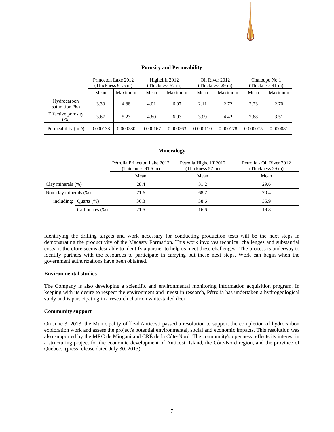

|                               | Princeton Lake 2012<br>(Thickness 91.5 m) |          | Highcliff 2012<br>(Thickness 57 m) |          |          | Oil River 2012<br>(Thickness 29 m) | Chaloupe No.1<br>(Thickness 41 m) |          |
|-------------------------------|-------------------------------------------|----------|------------------------------------|----------|----------|------------------------------------|-----------------------------------|----------|
|                               | Mean                                      | Maximum  | Mean                               | Maximum  | Mean     | Maximum                            | Mean                              | Maximum  |
| Hydrocarbon<br>saturation (%) | 3.30                                      | 4.88     | 4.01                               | 6.07     | 2.11     | 2.72                               | 2.23                              | 2.70     |
| Effective porosity<br>$(\%)$  | 3.67                                      | 5.23     | 4.80                               | 6.93     | 3.09     | 4.42                               | 2.68                              | 3.51     |
| Permeability (mD)             | 0.000138                                  | 0.000280 | 0.000167                           | 0.000263 | 0.000110 | 0.000178                           | 0.000075                          | 0.000081 |

### **Mineralogy**

|                       |                | Pétrolia Princeton Lake 2012<br>(Thickness $91.5$ m) | Pétrolia Highcliff 2012<br>(Thickness 57 m) | Pétrolia - Oil River 2012<br>(Thickness 29 m) |
|-----------------------|----------------|------------------------------------------------------|---------------------------------------------|-----------------------------------------------|
|                       |                | Mean                                                 | Mean                                        | Mean                                          |
| Clay minerals $(\%)$  |                | 28.4                                                 | 31.2                                        | 29.6                                          |
| Non-clay minerals (%) |                | 71.6                                                 | 68.7                                        | 70.4                                          |
| including:            | Ouartz $(\%)$  | 36.3                                                 | 38.6                                        | 35.9                                          |
|                       | Carbonates (%) | 21.5                                                 | 16.6                                        | 19.8                                          |

Identifying the drilling targets and work necessary for conducting production tests will be the next steps in demonstrating the productivity of the Macasty Formation. This work involves technical challenges and substantial costs; it therefore seems desirable to identify a partner to help us meet these challenges. The process is underway to identify partners with the resources to participate in carrying out these next steps. Work can begin when the government authorizations have been obtained.

### **Environmental studies**

The Company is also developing a scientific and environmental monitoring information acquisition program. In keeping with its desire to respect the environment and invest in research, Pétrolia has undertaken a hydrogeological study and is participating in a research chair on white-tailed deer.

### **Community support**

On June 3, 2013, the Municipality of Île-d'Anticosti passed a resolution to support the completion of hydrocarbon exploration work and assess the project's potential environmental, social and economic impacts. This resolution was also supported by the MRC de Mingani and CRÉ de la Côte-Nord. The community's openness reflects its interest in a structuring project for the economic development of Anticosti Island, the Côte-Nord region, and the province of Quebec. (press release dated July 30, 2013)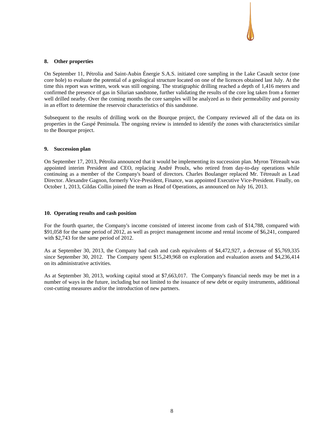### **8. Other properties**

On September 11, Pétrolia and Saint-Aubin Énergie S.A.S. initiated core sampling in the Lake Casault sector (one core hole) to evaluate the potential of a geological structure located on one of the licences obtained last July. At the time this report was written, work was still ongoing. The stratigraphic drilling reached a depth of 1,416 meters and confirmed the presence of gas in Silurian sandstone, further validating the results of the core log taken from a former well drilled nearby. Over the coming months the core samples will be analyzed as to their permeability and porosity in an effort to determine the reservoir characteristics of this sandstone.

Subsequent to the results of drilling work on the Bourque project, the Company reviewed all of the data on its properties in the Gaspé Peninsula. The ongoing review is intended to identify the zones with characteristics similar to the Bourque project.

### **9. Succession plan**

On September 17, 2013, Pétrolia announced that it would be implementing its succession plan. Myron Tétreault was appointed interim President and CEO, replacing André Proulx, who retired from day-to-day operations while continuing as a member of the Company's board of directors. Charles Boulanger replaced Mr. Tétreault as Lead Director. Alexandre Gagnon, formerly Vice-President, Finance, was appointed Executive Vice-President. Finally, on October 1, 2013, Gildas Collin joined the team as Head of Operations, as announced on July 16, 2013.

### **10. Operating results and cash position**

For the fourth quarter, the Company's income consisted of interest income from cash of \$14,788, compared with \$91,058 for the same period of 2012, as well as project management income and rental income of \$6,241, compared with \$2,743 for the same period of 2012.

As at September 30, 2013, the Company had cash and cash equivalents of \$4,472,927, a decrease of \$5,769,335 since September 30, 2012. The Company spent \$15,249,968 on exploration and evaluation assets and \$4,236,414 on its administrative activities.

As at September 30, 2013, working capital stood at \$7,663,017. The Company's financial needs may be met in a number of ways in the future, including but not limited to the issuance of new debt or equity instruments, additional cost-cutting measures and/or the introduction of new partners.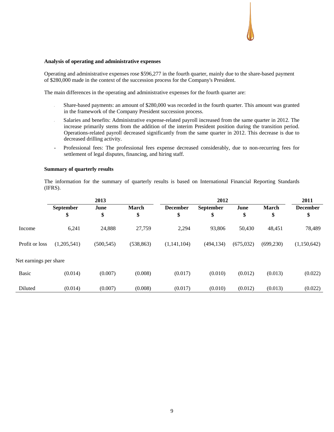### **Analysis of operating and administrative expenses**

Operating and administrative expenses rose \$596,277 in the fourth quarter, mainly due to the share-based payment of \$280,000 made in the context of the succession process for the Company's President.

The main differences in the operating and administrative expenses for the fourth quarter are:

- Share-based payments: an amount of \$280,000 was recorded in the fourth quarter. This amount was granted in the framework of the Company President succession process.
- Salaries and benefits: Administrative expense-related payroll increased from the same quarter in 2012. The increase primarily stems from the addition of the interim President position during the transition period. Operations-related payroll decreased significantly from the same quarter in 2012. This decrease is due to decreased drilling activity.
- Professional fees: The professional fees expense decreased considerably, due to non-recurring fees for settlement of legal disputes, financing, and hiring staff.

### **Summary of quarterly results**

The information for the summary of quarterly results is based on International Financial Reporting Standards (IFRS).

|                        | 2013        |            |              |                 | 2011             |            |              |                 |
|------------------------|-------------|------------|--------------|-----------------|------------------|------------|--------------|-----------------|
|                        | September   | June       | <b>March</b> | <b>December</b> | <b>September</b> | June       | <b>March</b> | <b>December</b> |
|                        | \$          | \$         | \$           | \$              | \$               | \$         | \$           | \$              |
| Income                 | 6,241       | 24,888     | 27,759       | 2,294           | 93,806           | 50,430     | 48,451       | 78,489          |
| Profit or loss         | (1,205,541) | (500, 545) | (538, 863)   | (1,141,104)     | (494, 134)       | (675, 032) | (699, 230)   | (1,150,642)     |
| Net earnings per share |             |            |              |                 |                  |            |              |                 |
| <b>Basic</b>           | (0.014)     | (0.007)    | (0.008)      | (0.017)         | (0.010)          | (0.012)    | (0.013)      | (0.022)         |
| Diluted                | (0.014)     | (0.007)    | (0.008)      | (0.017)         | (0.010)          | (0.012)    | (0.013)      | (0.022)         |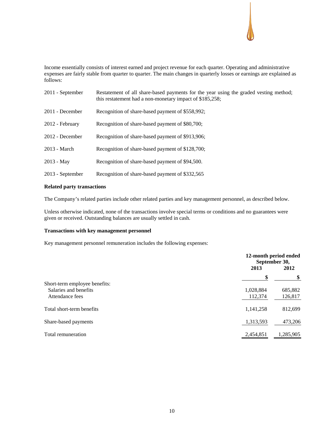Income essentially consists of interest earned and project revenue for each quarter. Operating and administrative expenses are fairly stable from quarter to quarter. The main changes in quarterly losses or earnings are explained as follows:

| 2011 - September | Restatement of all share-based payments for the year using the graded vesting method;<br>this restatement had a non-monetary impact of \$185,258; |
|------------------|---------------------------------------------------------------------------------------------------------------------------------------------------|
| 2011 - December  | Recognition of share-based payment of \$558,992;                                                                                                  |
| 2012 - February  | Recognition of share-based payment of \$80,700;                                                                                                   |
| 2012 - December  | Recognition of share-based payment of \$913,906;                                                                                                  |
| 2013 - March     | Recognition of share-based payment of \$128,700;                                                                                                  |
| $2013 - May$     | Recognition of share-based payment of \$94,500.                                                                                                   |
| 2013 - September | Recognition of share-based payment of \$332,565                                                                                                   |

# **Related party transactions**

The Company's related parties include other related parties and key management personnel, as described below.

Unless otherwise indicated, none of the transactions involve special terms or conditions and no guarantees were given or received. Outstanding balances are usually settled in cash.

# **Transactions with key management personnel**

Key management personnel remuneration includes the following expenses:

|                               | 2013      | 12-month period ended<br>September 30,<br>2012 |
|-------------------------------|-----------|------------------------------------------------|
|                               | \$        |                                                |
| Short-term employee benefits: |           |                                                |
| Salaries and benefits         | 1,028,884 | 685,882                                        |
| Attendance fees               | 112,374   | 126,817                                        |
| Total short-term benefits     | 1,141,258 | 812,699                                        |
| Share-based payments          | 1,313,593 | 473,206                                        |
| Total remuneration            | 2,454,851 | 1,285,905                                      |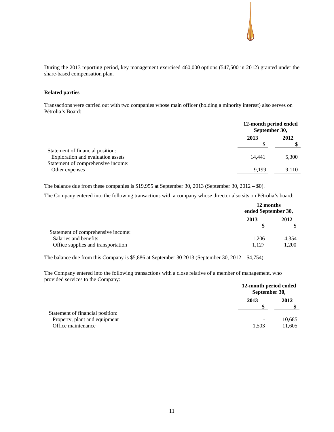During the 2013 reporting period, key management exercised 460,000 options (547,500 in 2012) granted under the share-based compensation plan.

# **Related parties**

Transactions were carried out with two companies whose main officer (holding a minority interest) also serves on Pétrolia's Board:

|                                                                       | 12-month period ended<br>September 30, |       |
|-----------------------------------------------------------------------|----------------------------------------|-------|
|                                                                       | 2013                                   | 2012  |
| Statement of financial position:<br>Exploration and evaluation assets | 14,441                                 | 5,300 |
| Statement of comprehensive income:<br>Other expenses                  | 9.199                                  | 9.110 |

The balance due from these companies is \$19,955 at September 30, 2013 (September 30, 2012 – \$0).

The Company entered into the following transactions with a company whose director also sits on Pétrolia's board:

|                                    | 12 months<br>ended September 30, |       |
|------------------------------------|----------------------------------|-------|
|                                    | 2013                             | 2012  |
| Statement of comprehensive income: |                                  |       |
| Salaries and benefits              | 1.206                            | 4,354 |
| Office supplies and transportation | 1.127                            | 1,200 |

The balance due from this Company is \$5,886 at September 30 2013 (September 30, 2012 – \$4,754).

The Company entered into the following transactions with a close relative of a member of management, who provided services to the Company:

|                                  | 12-month period ended<br>September 30, |        |
|----------------------------------|----------------------------------------|--------|
|                                  | 2013                                   | 2012   |
| Statement of financial position: |                                        |        |
| Property, plant and equipment    |                                        | 10,685 |
| Office maintenance               | 1.503                                  | 11,605 |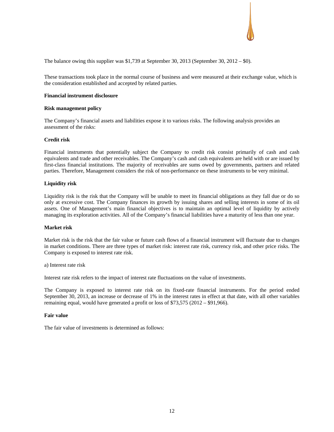

The balance owing this supplier was \$1,739 at September 30, 2013 (September 30, 2012 – \$0).

These transactions took place in the normal course of business and were measured at their exchange value, which is the consideration established and accepted by related parties.

### **Financial instrument disclosure**

### **Risk management policy**

The Company's financial assets and liabilities expose it to various risks. The following analysis provides an assessment of the risks:

### **Credit risk**

Financial instruments that potentially subject the Company to credit risk consist primarily of cash and cash equivalents and trade and other receivables. The Company's cash and cash equivalents are held with or are issued by first-class financial institutions. The majority of receivables are sums owed by governments, partners and related parties. Therefore, Management considers the risk of non-performance on these instruments to be very minimal.

### **Liquidity risk**

Liquidity risk is the risk that the Company will be unable to meet its financial obligations as they fall due or do so only at excessive cost. The Company finances its growth by issuing shares and selling interests in some of its oil assets. One of Management's main financial objectives is to maintain an optimal level of liquidity by actively managing its exploration activities. All of the Company's financial liabilities have a maturity of less than one year.

### **Market risk**

Market risk is the risk that the fair value or future cash flows of a financial instrument will fluctuate due to changes in market conditions. There are three types of market risk: interest rate risk, currency risk, and other price risks. The Company is exposed to interest rate risk.

a) Interest rate risk

Interest rate risk refers to the impact of interest rate fluctuations on the value of investments.

The Company is exposed to interest rate risk on its fixed-rate financial instruments. For the period ended September 30, 2013, an increase or decrease of 1% in the interest rates in effect at that date, with all other variables remaining equal, would have generated a profit or loss of \$73,575 (2012 – \$91,966).

### **Fair value**

The fair value of investments is determined as follows: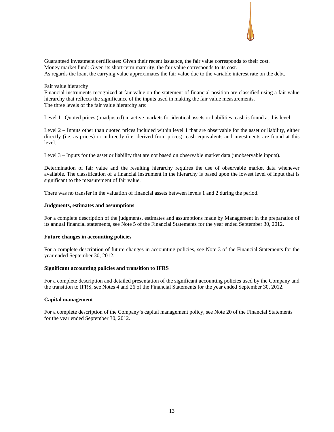# Guaranteed investment certificates: Given their recent issuance, the fair value corresponds to their cost. Money market fund: Given its short-term maturity, the fair value corresponds to its cost. As regards the loan, the carrying value approximates the fair value due to the variable interest rate on the debt.

### Fair value hierarchy

Financial instruments recognized at fair value on the statement of financial position are classified using a fair value hierarchy that reflects the significance of the inputs used in making the fair value measurements. The three levels of the fair value hierarchy are:

Level 1– Quoted prices (unadjusted) in active markets for identical assets or liabilities: cash is found at this level.

Level 2 – Inputs other than quoted prices included within level 1 that are observable for the asset or liability, either directly (i.e. as prices) or indirectly (i.e. derived from prices): cash equivalents and investments are found at this level.

Level 3 – Inputs for the asset or liability that are not based on observable market data (unobservable inputs).

Determination of fair value and the resulting hierarchy requires the use of observable market data whenever available. The classification of a financial instrument in the hierarchy is based upon the lowest level of input that is significant to the measurement of fair value.

There was no transfer in the valuation of financial assets between levels 1 and 2 during the period.

### **Judgments, estimates and assumptions**

For a complete description of the judgments, estimates and assumptions made by Management in the preparation of its annual financial statements, see Note 5 of the Financial Statements for the year ended September 30, 2012.

### **Future changes in accounting policies**

For a complete description of future changes in accounting policies, see Note 3 of the Financial Statements for the year ended September 30, 2012.

### **Significant accounting policies and transition to IFRS**

For a complete description and detailed presentation of the significant accounting policies used by the Company and the transition to IFRS, see Notes 4 and 26 of the Financial Statements for the year ended September 30, 2012.

# **Capital management**

For a complete description of the Company's capital management policy, see Note 20 of the Financial Statements for the year ended September 30, 2012.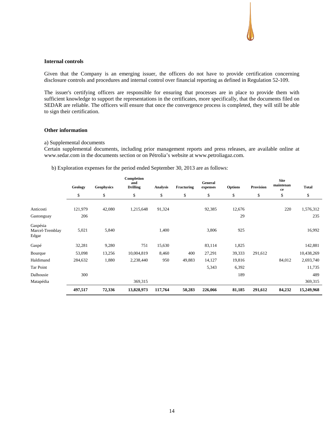### **Internal controls**

Given that the Company is an emerging issuer, the officers do not have to provide certification concerning disclosure controls and procedures and internal control over financial reporting as defined in Regulation 52-109.

The issuer's certifying officers are responsible for ensuring that processes are in place to provide them with sufficient knowledge to support the representations in the certificates, more specifically, that the documents filed on SEDAR are reliable. The officers will ensure that once the convergence process is completed, they will still be able to sign their certification.

# **Other information**

### a) Supplemental documents

Certain supplemental documents, including prior management reports and press releases, are available online at www.sedar.com in the documents section or on Pétrolia's website at www.petroliagaz.com.

b) Exploration expenses for the period ended September 30, 2013 are as follows:

|                                      | Geology | <b>Geophysics</b> | Completion<br>and<br><b>Drilling</b> | <b>Analysis</b> | Fracturing | General<br>expenses | <b>Options</b> | Provision | <b>Site</b><br>maintenan<br>ce | <b>Total</b> |
|--------------------------------------|---------|-------------------|--------------------------------------|-----------------|------------|---------------------|----------------|-----------|--------------------------------|--------------|
|                                      | \$      | \$                | \$                                   | \$              | \$         | \$                  | \$             | \$        | \$                             | \$           |
| Anticosti                            | 121,979 | 42,080            | 1,215,648                            | 91,324          |            | 92,385              | 12,676         |           | 220                            | 1,576,312    |
| Gastonguay                           | 206     |                   |                                      |                 |            |                     | 29             |           |                                | 235          |
| Gaspésia<br>Marcel-Tremblay<br>Edgar | 5,021   | 5,840             |                                      | 1,400           |            | 3,806               | 925            |           |                                | 16,992       |
| Gaspé                                | 32,281  | 9,280             | 751                                  | 15,630          |            | 83,114              | 1,825          |           |                                | 142,881      |
| Bourque                              | 53,098  | 13,256            | 10,004,819                           | 8,460           | 400        | 27,291              | 39,333         | 291,612   |                                | 10,438,269   |
| Haldimand                            | 284,632 | 1,880             | 2,238,440                            | 950             | 49,883     | 14,127              | 19,816         |           | 84,012                         | 2,693,740    |
| Tar Point                            |         |                   |                                      |                 |            | 5,343               | 6,392          |           |                                | 11,735       |
| Dalhousie                            | 300     |                   |                                      |                 |            |                     | 189            |           |                                | 489          |
| Matapédia                            |         |                   | 369,315                              |                 |            |                     |                |           |                                | 369,315      |
|                                      | 497,517 | 72,336            | 13,828,973                           | 117,764         | 50,283     | 226,066             | 81,185         | 291,612   | 84,232                         | 15,249,968   |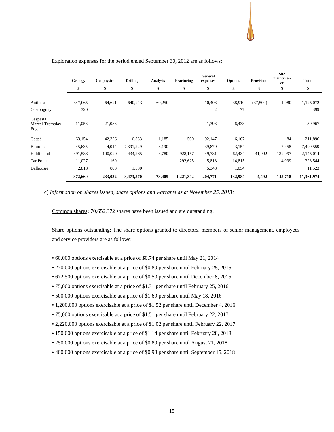|                                      | Geology | <b>Geophysics</b> | <b>Drilling</b> | <b>Analysis</b> | Fracturing | General<br>expenses | <b>Options</b> | <b>Provision</b> | <b>Site</b><br>maintenan<br>ce | <b>Total</b> |
|--------------------------------------|---------|-------------------|-----------------|-----------------|------------|---------------------|----------------|------------------|--------------------------------|--------------|
|                                      | \$      | \$                | \$              | \$              | \$         | \$                  | \$             | \$               | \$                             | \$           |
| Anticosti                            | 347,065 | 64,621            | 640,243         | 60,250          |            | 10,403              | 38,910         | (37,500)         | 1,080                          | 1,125,072    |
| Gastonguay                           | 320     |                   |                 |                 |            | $\overline{c}$      | 77             |                  |                                | 399          |
| Gaspésia<br>Marcel-Tremblay<br>Edgar | 11,053  | 21,088            |                 |                 |            | 1,393               | 6,433          |                  |                                | 39,967       |
| Gaspé                                | 63,154  | 42,326            | 6,333           | 1,185           | 560        | 92,147              | 6,107          |                  | 84                             | 211,896      |
| Bourque                              | 45,635  | 4,014             | 7,391,229       | 8,190           |            | 39,879              | 3,154          |                  | 7,458                          | 7,499,559    |
| Haldimand                            | 391,588 | 100,020           | 434,265         | 3,780           | 928,157    | 49,781              | 62,434         | 41,992           | 132,997                        | 2,145,014    |
| Tar Point                            | 11,027  | 160               |                 |                 | 292,625    | 5,818               | 14,815         |                  | 4,099                          | 328,544      |
| Dalhousie                            | 2,818   | 803               | 1,500           |                 |            | 5,348               | 1,054          |                  |                                | 11,523       |
|                                      | 872,660 | 233,032           | 8,473,570       | 73,405          | 1,221,342  | 204,771             | 132,984        | 4,492            | 145,718                        | 11,361,974   |

### Exploration expenses for the period ended September 30, 2012 are as follows:

c) *Information on shares issued, share options and warrants as at November 25, 2013:*

Common shares**:** 70,652,372 shares have been issued and are outstanding.

Share options outstanding: The share options granted to directors, members of senior management, employees and service providers are as follows:

- 60,000 options exercisable at a price of \$0.74 per share until May 21, 2014
- 270,000 options exercisable at a price of \$0.89 per share until February 25, 2015
- 672,500 options exercisable at a price of \$0.50 per share until December 8, 2015
- 75,000 options exercisable at a price of \$1.31 per share until February 25, 2016
- 500,000 options exercisable at a price of \$1.69 per share until May 18, 2016
- 1,200,000 options exercisable at a price of \$1.52 per share until December 4, 2016
- 75,000 options exercisable at a price of \$1.51 per share until February 22, 2017
- 2,220,000 options exercisable at a price of \$1.02 per share until February 22, 2017
- 150,000 options exercisable at a price of \$1.14 per share until February 28, 2018
- 250,000 options exercisable at a price of \$0.89 per share until August 21, 2018
- 400,000 options exercisable at a price of \$0.98 per share until September 15, 2018